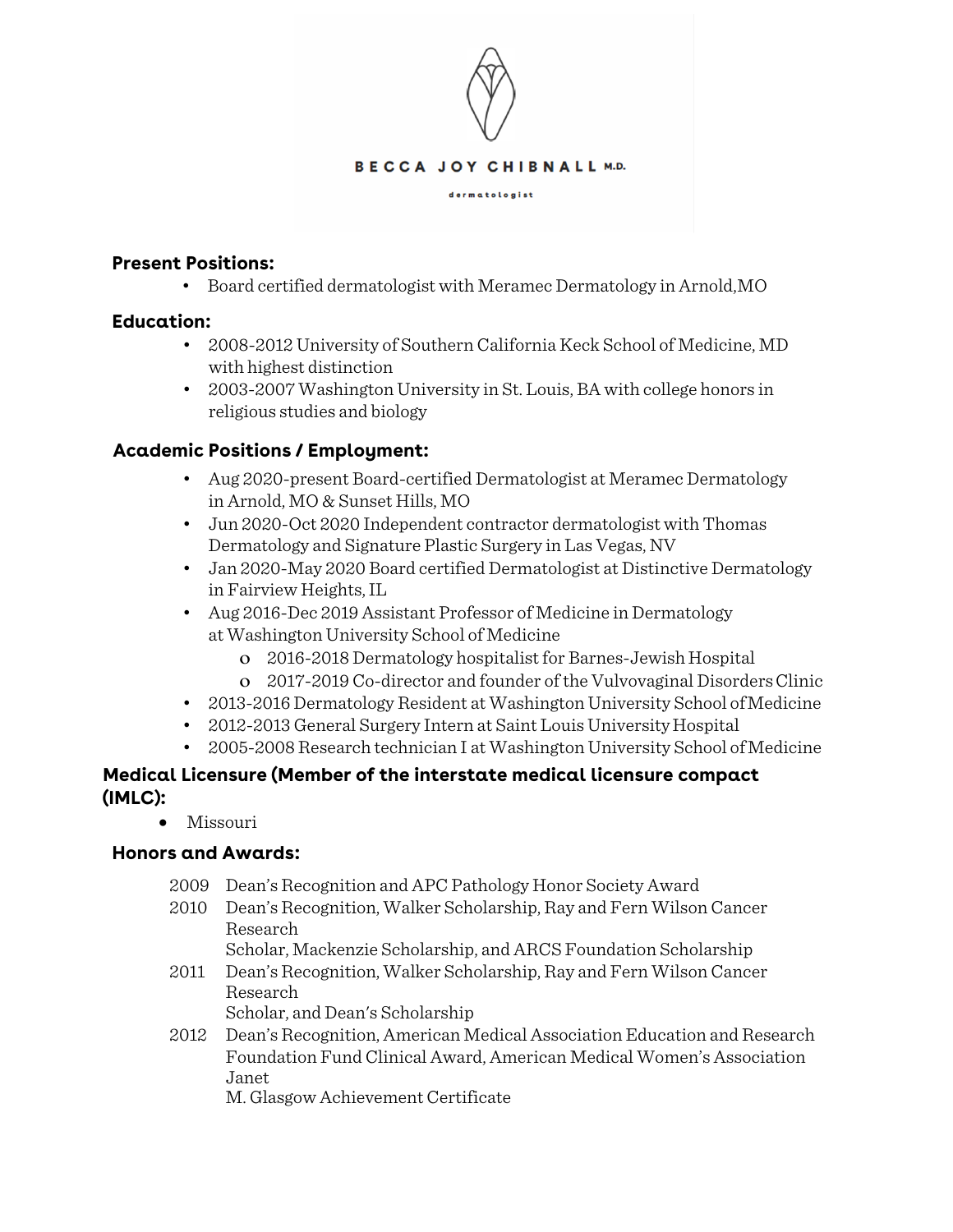

#### **Present Positions:**

• Board certified dermatologist with Meramec Dermatology in Arnold,MO

### **Education:**

- 2008-2012 University of Southern California Keck School of Medicine, MD with highest distinction
- 2003-2007 Washington University in St. Louis, BA with college honors in religious studies and biology

### **Academic Positions / Employment:**

- Aug 2020-present Board-certified Dermatologist at Meramec Dermatology in Arnold, MO & Sunset Hills, MO
- Jun 2020-Oct 2020 Independent contractor dermatologist with Thomas Dermatology and Signature Plastic Surgery in Las Vegas, NV
- Jan 2020-May 2020 Board certified Dermatologist at Distinctive Dermatology in Fairview Heights,IL
- Aug 2016-Dec 2019 Assistant Professor of Medicine in Dermatology at Washington University School of Medicine
	- o 2016-2018 Dermatology hospitalist for Barnes-Jewish Hospital
	- o 2017-2019 Co-director and founder of the Vulvovaginal DisordersClinic
- 2013-2016 Dermatology Resident at Washington University School of Medicine
- 2012-2013 General Surgery Intern at Saint Louis University Hospital
- 2005-2008 Research technician I at Washington University School of Medicine

# **Medical Licensure (Member of the interstate medical licensure compact (IMLC):**

• Missouri

#### **Honors and Awards:**

- 2009 Dean's Recognition and APC Pathology Honor Society Award
- 2010 Dean's Recognition, Walker Scholarship, Ray and Fern Wilson Cancer Research
	- Scholar, Mackenzie Scholarship, and ARCS Foundation Scholarship
- 2011 Dean's Recognition, Walker Scholarship, Ray and Fern Wilson Cancer Research Scholar, and Dean's Scholarship
- 2012 Dean's Recognition, American Medical Association Education and Research Foundation Fund Clinical Award, American Medical Women's Association Janet

M. Glasgow Achievement Certificate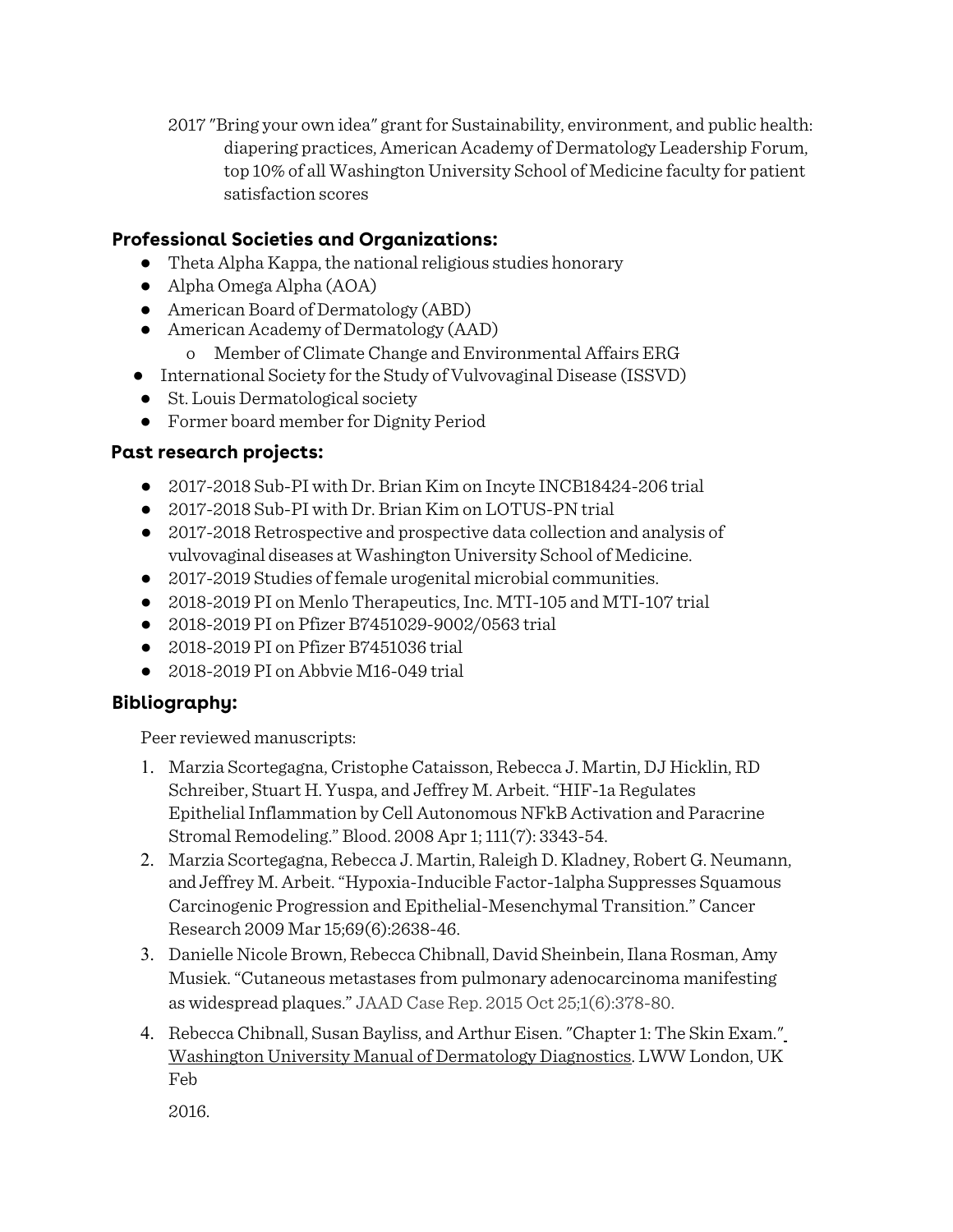2017 "Bring your own idea" grant for Sustainability, environment, and public health: diapering practices, American Academy of Dermatology Leadership Forum, top 10% of all Washington University School of Medicine faculty for patient satisfaction scores

# **Professional Societies and Organizations:**

- Theta Alpha Kappa, the national religious studies honorary
- Alpha Omega Alpha (AOA)
- American Board of Dermatology (ABD)
- American Academy of Dermatology (AAD)
	- o Member of Climate Change and Environmental Affairs ERG
- International Society for the Study of Vulvovaginal Disease (ISSVD)
- St. Louis Dermatological society
- Former board member for Dignity Period

# **Past research projects:**

- 2017-2018 Sub-PI with Dr. Brian Kim on Incyte INCB18424-206 trial
- 2017-2018 Sub-PI with Dr. Brian Kim on LOTUS-PN trial
- 2017-2018 Retrospective and prospective data collection and analysis of vulvovaginal diseases at Washington University School of Medicine.
- 2017-2019 Studies of female urogenital microbial communities.
- 2018-2019 PI on Menlo Therapeutics, Inc. MTI-105 and MTI-107 trial
- 2018-2019 PI on Pfizer B7451029-9002/0563 trial
- 2018-2019 PI on Pfizer B7451036 trial
- 2018-2019 PI on Abbyie M16-049 trial

# **Bibliography:**

Peer reviewed manuscripts:

- 1. Marzia Scortegagna, Cristophe Cataisson, Rebecca J. Martin, DJ Hicklin, RD Schreiber, Stuart H. Yuspa, and Jeffrey M. Arbeit. "HIF-1a Regulates Epithelial Inflammation by Cell Autonomous NFkB Activation and Paracrine Stromal Remodeling." Blood. 2008 Apr 1; 111(7): 3343-54.
- 2. Marzia Scortegagna, Rebecca J. Martin, Raleigh D. Kladney, Robert G. Neumann, and Jeffrey M. Arbeit. "Hypoxia-Inducible Factor-1alpha Suppresses Squamous Carcinogenic Progression and Epithelial-Mesenchymal Transition." Cancer Research 2009 Mar 15;69(6):2638-46.
- 3. Danielle Nicole Brown, Rebecca Chibnall, David Sheinbein, Ilana Rosman, Amy Musiek. "Cutaneous metastases from pulmonary adenocarcinoma manifesting as widespread plaques." JAAD Case Rep. 2015 Oct 25;1(6):378-80.
- 4. Rebecca Chibnall, Susan Bayliss, and Arthur Eisen. "Chapter 1: The Skin Exam." Washington University Manual of Dermatology Diagnostics. LWW London, UK Feb

2016.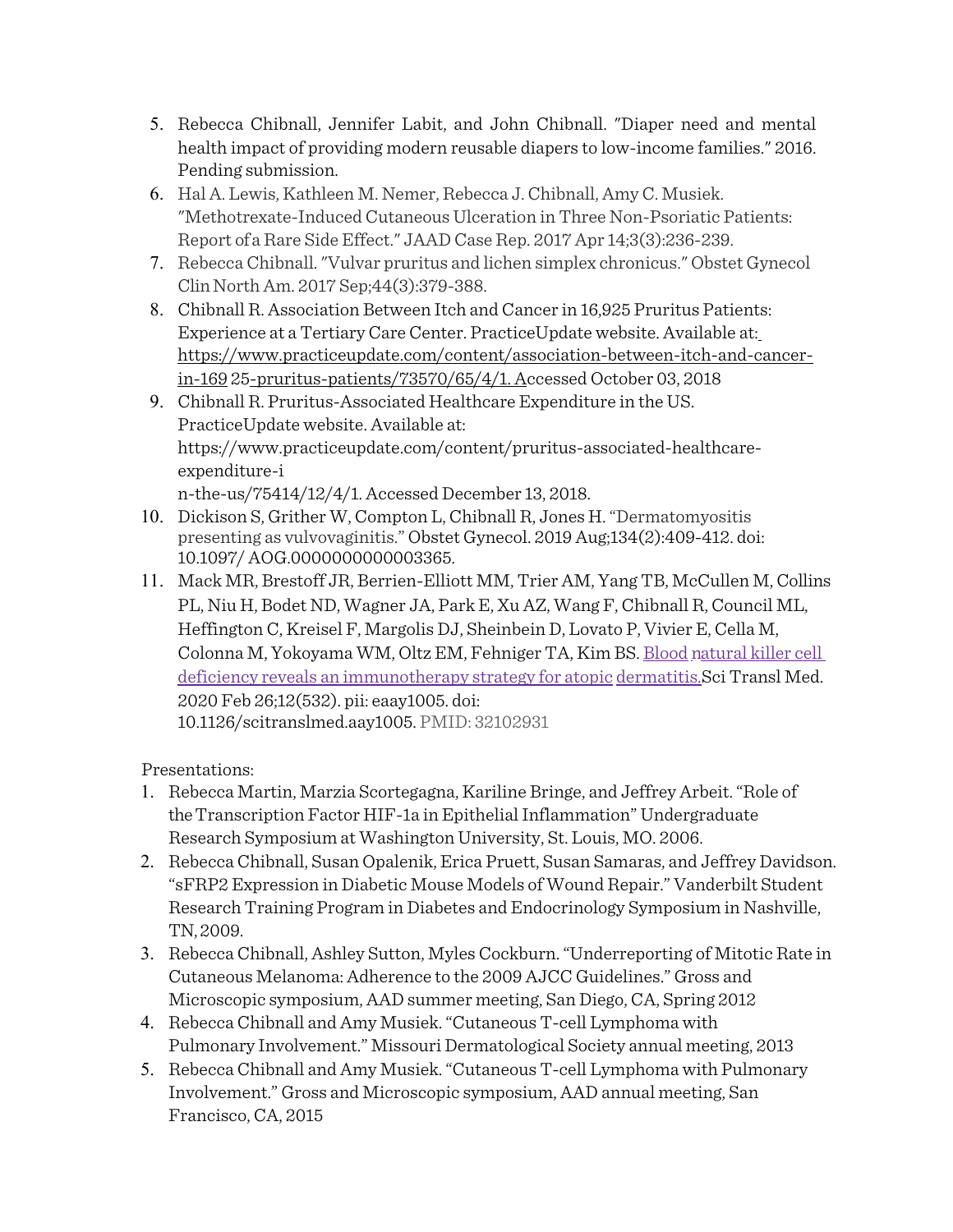- 5. Rebecca Chibnall, Jennifer Labit, and John Chibnall. "Diaper need and mental health impact of providing modern reusable diapers to low-income families." 2016. Pending submission.
- 6. Hal A. Lewis, Kathleen M. Nemer, Rebecca J. Chibnall, Amy C. Musiek. "Methotrexate-Induced Cutaneous Ulceration in Three Non-Psoriatic Patients: Report of a Rare Side Effect." JAAD Case Rep. 2017 Apr 14;3(3):236-239.
- 7. Rebecca Chibnall. "Vulvar pruritus and lichen simplex chronicus." Obstet Gynecol Clin North Am. 2017 Sep;44(3):379-388.
- 8. Chibnall R. Association Between Itch and Cancer in 16,925 Pruritus Patients: Experience at a Tertiary Care Center. PracticeUpdate website. Available at: https://www.practiceupdate.com/content/association-between-itch-and-cancerin-169 25-pruritus-patients/73570/65/4/1. Accessed October 03, 2018
- 9. Chibnall R. Pruritus-Associated Healthcare Expenditure in the US. PracticeUpdate website. Available at: https://www.practiceupdate.com/content/pruritus-associated-healthcareexpenditure-i n-the-us/75414/12/4/1. Accessed December 13, 2018.
- 10. Dickison S, Grither W, Compton L, Chibnall R, Jones H. "Dermatomyositis presenting as vulvovaginitis." Obstet Gynecol. 2019 Aug;134(2):409-412. doi: 10.1097/ AOG.0000000000003365.
- 11. Mack MR, Brestoff JR, Berrien-Elliott MM, Trier AM, Yang TB, McCullen M, Collins PL, Niu H, Bodet ND, Wagner JA, Park E, Xu AZ, Wang F, Chibnall R, Council ML, Heffington C, Kreisel F, Margolis DJ, Sheinbein D, Lovato P, Vivier E, Cella M, Colonna M, Yokoyama WM, Oltz EM, Fehniger TA, Kim BS. Blood natural killer cell deficiency reveals an immunotherapy strategy for atopic dermatitis.Sci Transl Med. 2020 Feb 26;12(532). pii: eaay1005. doi: 10.1126/scitranslmed.aay1005. PMID: 32102931

Presentations:

- 1. Rebecca Martin, Marzia Scortegagna, Kariline Bringe, and Jeffrey Arbeit. "Role of the Transcription Factor HIF-1a in Epithelial Inflammation" Undergraduate Research Symposium at Washington University, St. Louis, MO. 2006.
- 2. Rebecca Chibnall, Susan Opalenik, Erica Pruett, Susan Samaras, and Jeffrey Davidson. "sFRP2 Expression in Diabetic Mouse Models of Wound Repair." Vanderbilt Student Research Training Program in Diabetes and Endocrinology Symposium in Nashville, TN, 2009.
- 3. Rebecca Chibnall, Ashley Sutton, Myles Cockburn. "Underreporting of Mitotic Rate in Cutaneous Melanoma: Adherence to the 2009 AJCC Guidelines." Gross and Microscopic symposium, AAD summer meeting, San Diego, CA, Spring 2012
- 4. Rebecca Chibnall and Amy Musiek. "Cutaneous T-cell Lymphoma with Pulmonary Involvement." Missouri Dermatological Society annual meeting, 2013
- 5. Rebecca Chibnall and Amy Musiek. "Cutaneous T-cell Lymphoma with Pulmonary Involvement." Gross and Microscopic symposium, AAD annual meeting, San Francisco, CA, 2015